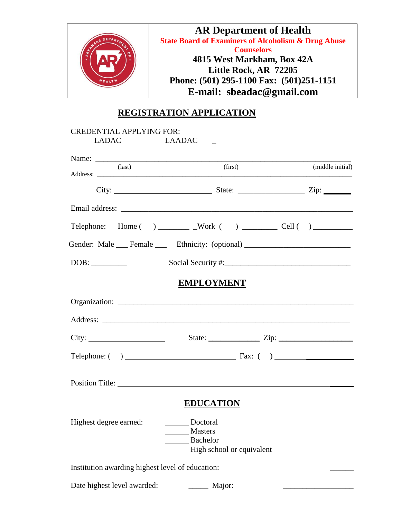

## **REGISTRATION APPLICATION**

|                        | Name:                                                                            |                  |
|------------------------|----------------------------------------------------------------------------------|------------------|
| $\text{(last)}$        | (first)                                                                          | (middle initial) |
|                        |                                                                                  |                  |
|                        |                                                                                  |                  |
|                        |                                                                                  |                  |
|                        | Gender: Male __ Female __ Ethnicity: (optional) ________________________________ |                  |
|                        |                                                                                  |                  |
|                        | <b>EMPLOYMENT</b>                                                                |                  |
|                        |                                                                                  |                  |
|                        |                                                                                  |                  |
|                        | City: $\frac{\text{City:}}{\text{List:}}$                                        |                  |
|                        |                                                                                  |                  |
|                        | Position Title:                                                                  |                  |
|                        | <b>EDUCATION</b>                                                                 |                  |
|                        | Doctoral                                                                         |                  |
| Highest degree earned: | <b>Masters</b>                                                                   |                  |
|                        | Bachelor                                                                         |                  |
|                        | High school or equivalent                                                        |                  |
|                        | Institution awarding highest level of education: _______________________________ |                  |
|                        |                                                                                  |                  |